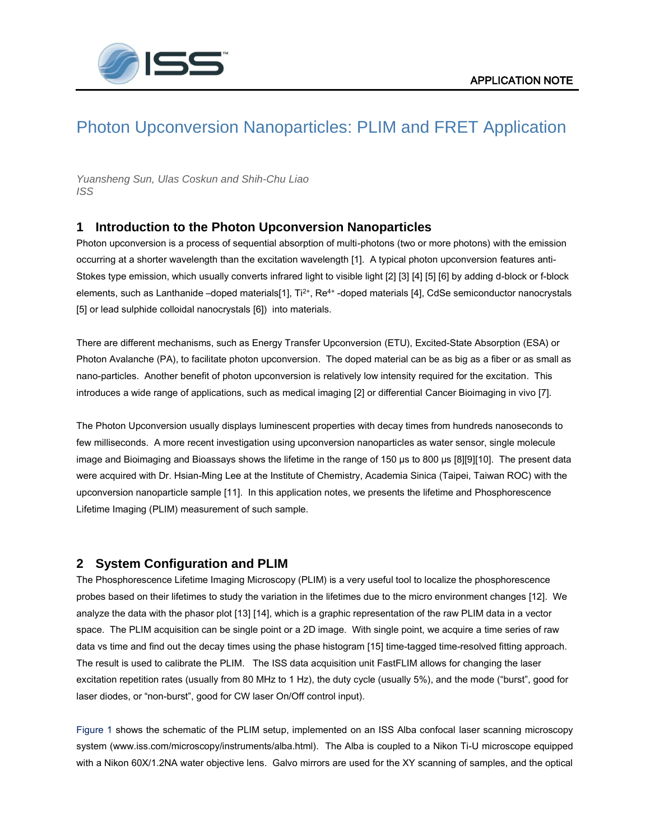

# Photon Upconversion Nanoparticles: PLIM and FRET Application

*Yuansheng Sun, Ulas Coskun and Shih-Chu Liao ISS*

# **1 Introduction to the Photon Upconversion Nanoparticles**

Photon upconversion is a process of sequential absorption of multi-photons (two or more photons) with the emission occurring at a shorter wavelength than the excitation wavelength [1]. A typical photon upconversion features anti-Stokes type emission, which usually converts infrared light to visible light [2] [3] [4] [5] [6] by adding d-block or f-block elements, such as Lanthanide –doped materials[1], Ti<sup>2+</sup>, Re<sup>4+</sup> -doped materials [4], CdSe semiconductor nanocrystals [5] or lead sulphide colloidal nanocrystals [6]) into materials.

There are different mechanisms, such as Energy Transfer Upconversion (ETU), Excited-State Absorption (ESA) or Photon Avalanche (PA), to facilitate photon upconversion. The doped material can be as big as a fiber or as small as nano-particles. Another benefit of photon upconversion is relatively low intensity required for the excitation. This introduces a wide range of applications, such as medical imaging [2] or differential Cancer Bioimaging in vivo [7].

The Photon Upconversion usually displays luminescent properties with decay times from hundreds nanoseconds to few milliseconds. A more recent investigation using upconversion nanoparticles as water sensor, single molecule image and Bioimaging and Bioassays shows the lifetime in the range of 150 µs to 800 µs [8][9][10]. The present data were acquired with Dr. Hsian-Ming Lee at the Institute of Chemistry, Academia Sinica (Taipei, Taiwan ROC) with the upconversion nanoparticle sample [11]. In this application notes, we presents the lifetime and Phosphorescence Lifetime Imaging (PLIM) measurement of such sample.

# **2 System Configuration and PLIM**

The Phosphorescence Lifetime Imaging Microscopy (PLIM) is a very useful tool to localize the phosphorescence probes based on their lifetimes to study the variation in the lifetimes due to the micro environment changes [12]. We analyze the data with the phasor plot [13] [14], which is a graphic representation of the raw PLIM data in a vector space. The PLIM acquisition can be single point or a 2D image. With single point, we acquire a time series of raw data vs time and find out the decay times using the phase histogram [15] time-tagged time-resolved fitting approach. The result is used to calibrate the PLIM. The ISS data acquisition unit FastFLIM allows for changing the laser excitation repetition rates (usually from 80 MHz to 1 Hz), the duty cycle (usually 5%), and the mode ("burst", good for laser diodes, or "non-burst", good for CW laser On/Off control input).

Figure 1 shows the schematic of the PLIM setup, implemented on an ISS Alba confocal laser scanning microscopy system (www.iss.com/microscopy/instruments/alba.html). The Alba is coupled to a Nikon Ti-U microscope equipped with a Nikon 60X/1.2NA water objective lens. Galvo mirrors are used for the XY scanning of samples, and the optical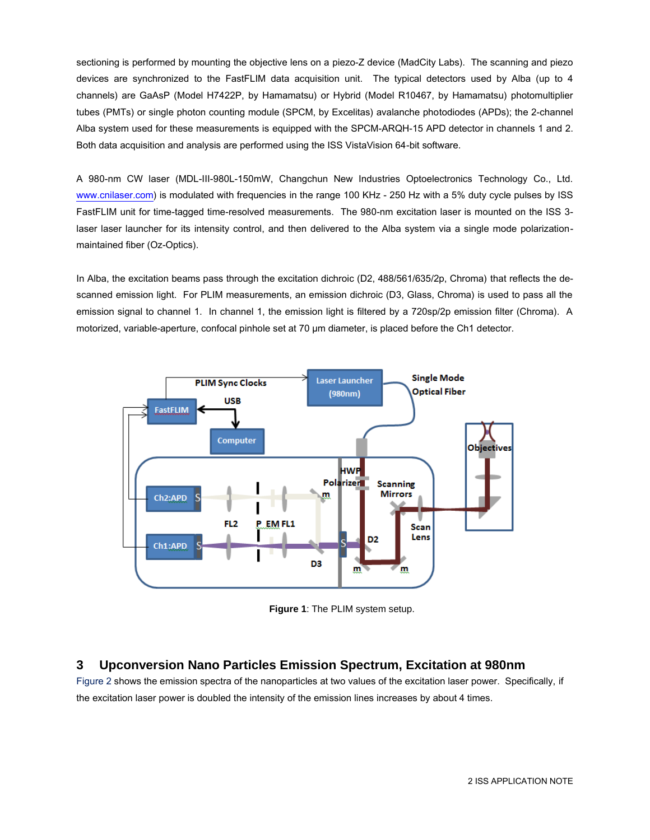sectioning is performed by mounting the objective lens on a piezo-Z device (MadCity Labs). The scanning and piezo devices are synchronized to the FastFLIM data acquisition unit. The typical detectors used by Alba (up to 4 channels) are GaAsP (Model H7422P, by Hamamatsu) or Hybrid (Model R10467, by Hamamatsu) photomultiplier tubes (PMTs) or single photon counting module (SPCM, by Excelitas) avalanche photodiodes (APDs); the 2-channel Alba system used for these measurements is equipped with the SPCM-ARQH-15 APD detector in channels 1 and 2. Both data acquisition and analysis are performed using the ISS VistaVision 64-bit software.

A 980-nm CW laser (MDL-III-980L-150mW, Changchun New Industries Optoelectronics Technology Co., Ltd. [www.cnilaser.com\)](http://www.cnilaser.com/) is modulated with frequencies in the range 100 KHz - 250 Hz with a 5% duty cycle pulses by ISS FastFLIM unit for time-tagged time-resolved measurements. The 980-nm excitation laser is mounted on the ISS 3 laser laser launcher for its intensity control, and then delivered to the Alba system via a single mode polarizationmaintained fiber (Oz-Optics).

In Alba, the excitation beams pass through the excitation dichroic (D2, 488/561/635/2p, Chroma) that reflects the descanned emission light. For PLIM measurements, an emission dichroic (D3, Glass, Chroma) is used to pass all the emission signal to channel 1. In channel 1, the emission light is filtered by a 720sp/2p emission filter (Chroma). A motorized, variable-aperture, confocal pinhole set at 70  $\mu$ m diameter, is placed before the Ch1 detector.



**Figure 1**: The PLIM system setup.

# **3 Upconversion Nano Particles Emission Spectrum, Excitation at 980nm**

Figure 2 shows the emission spectra of the nanoparticles at two values of the excitation laser power. Specifically, if the excitation laser power is doubled the intensity of the emission lines increases by about 4 times.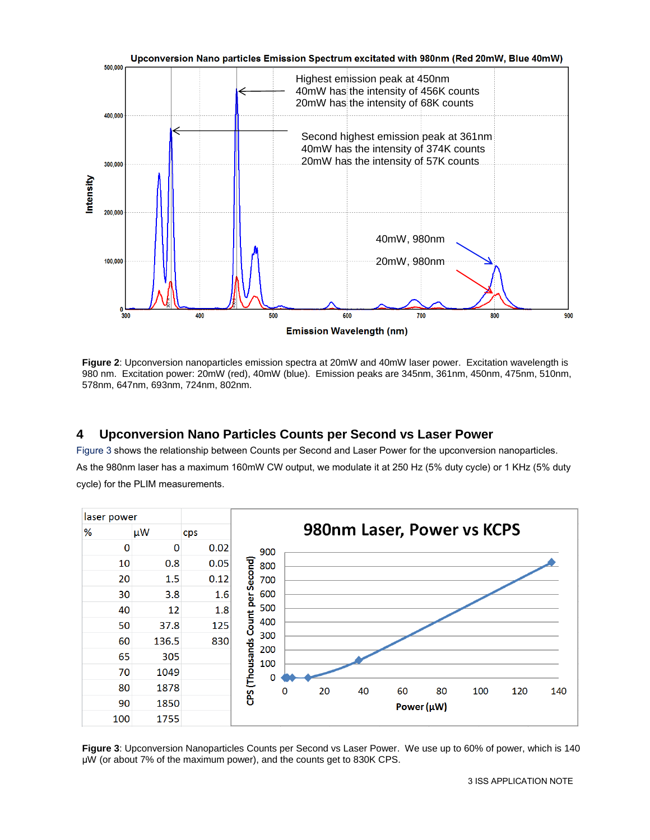

**Figure 2**: Upconversion nanoparticles emission spectra at 20mW and 40mW laser power. Excitation wavelength is 980 nm. Excitation power: 20mW (red), 40mW (blue). Emission peaks are 345nm, 361nm, 450nm, 475nm, 510nm, 578nm, 647nm, 693nm, 724nm, 802nm.

# **4 Upconversion Nano Particles Counts per Second vs Laser Power**

Figure 3 shows the relationship between Counts per Second and Laser Power for the upconversion nanoparticles. As the 980nm laser has a maximum 160mW CW output, we modulate it at 250 Hz (5% duty cycle) or 1 KHz (5% duty cycle) for the PLIM measurements.



**Figure 3**: Upconversion Nanoparticles Counts per Second vs Laser Power. We use up to 60% of power, which is 140 μW (or about 7% of the maximum power), and the counts get to 830K CPS.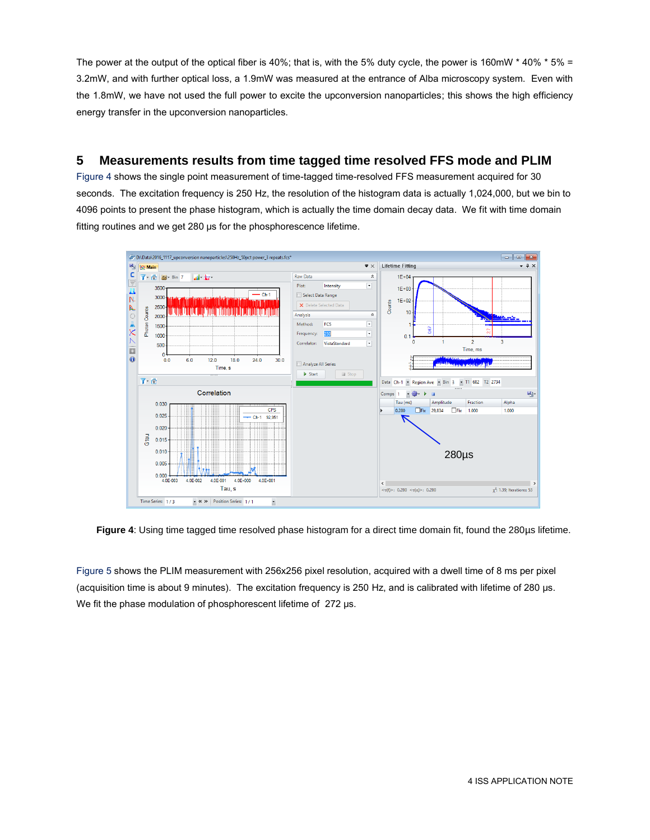The power at the output of the optical fiber is 40%; that is, with the 5% duty cycle, the power is 160mW  $*$  40%  $*$  5% = 3.2mW, and with further optical loss, a 1.9mW was measured at the entrance of Alba microscopy system. Even with the 1.8mW, we have not used the full power to excite the upconversion nanoparticles; this shows the high efficiency energy transfer in the upconversion nanoparticles.

# **5 Measurements results from time tagged time resolved FFS mode and PLIM**

Figure 4 shows the single point measurement of time-tagged time-resolved FFS measurement acquired for 30 seconds. The excitation frequency is 250 Hz, the resolution of the histogram data is actually 1,024,000, but we bin to 4096 points to present the phase histogram, which is actually the time domain decay data. We fit with time domain fitting routines and we get 280 μs for the phosphorescence lifetime.



**Figure 4**: Using time tagged time resolved phase histogram for a direct time domain fit, found the 280µs lifetime.

Figure 5 shows the PLIM measurement with 256x256 pixel resolution, acquired with a dwell time of 8 ms per pixel (acquisition time is about 9 minutes). The excitation frequency is 250 Hz, and is calibrated with lifetime of 280 μs. We fit the phase modulation of phosphorescent lifetime of 272 μs.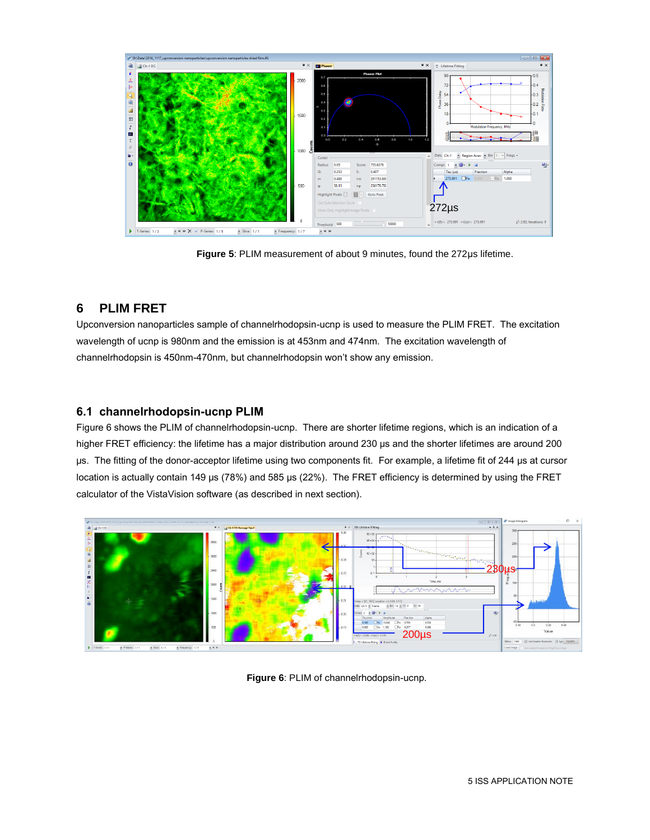

**Figure 5**: PLIM measurement of about 9 minutes, found the 272μs lifetime.

# **6 PLIM FRET**

Upconversion nanoparticles sample of channelrhodopsin-ucnp is used to measure the PLIM FRET. The excitation wavelength of ucnp is 980nm and the emission is at 453nm and 474nm. The excitation wavelength of channelrhodopsin is 450nm-470nm, but channelrhodopsin won't show any emission.

## **6.1 channelrhodopsin-ucnp PLIM**

Figure 6 shows the PLIM of channelrhodopsin-ucnp. There are shorter lifetime regions, which is an indication of a higher FRET efficiency: the lifetime has a major distribution around 230 μs and the shorter lifetimes are around 200 μs. The fitting of the donor-acceptor lifetime using two components fit. For example, a lifetime fit of 244 μs at cursor location is actually contain 149 μs (78%) and 585 μs (22%). The FRET efficiency is determined by using the FRET calculator of the VistaVision software (as described in next section).



**Figure 6**: PLIM of channelrhodopsin-ucnp.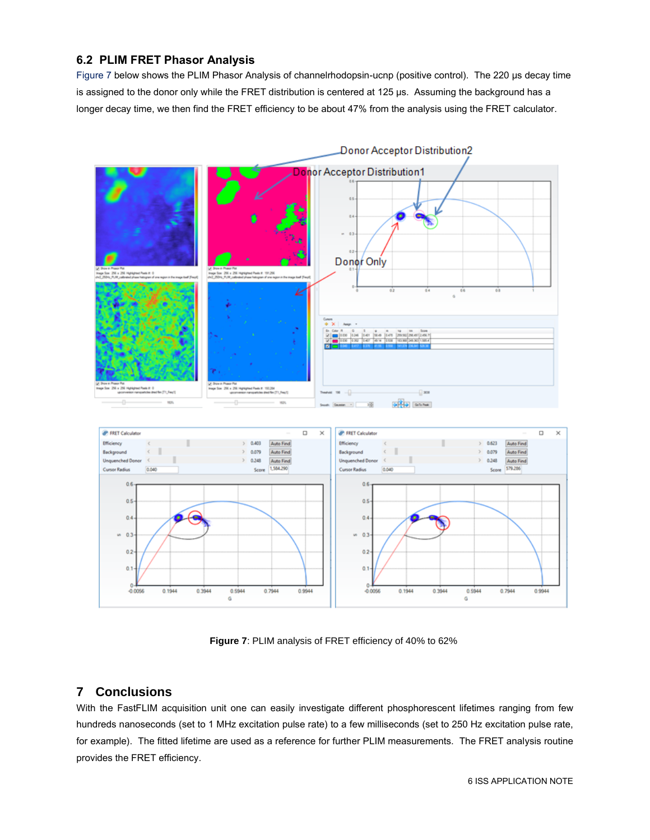## **6.2 PLIM FRET Phasor Analysis**

Figure 7 below shows the PLIM Phasor Analysis of channelrhodopsin-ucnp (positive control). The 220 μs decay time is assigned to the donor only while the FRET distribution is centered at 125 μs. Assuming the background has a longer decay time, we then find the FRET efficiency to be about 47% from the analysis using the FRET calculator.



**Figure 7**: PLIM analysis of FRET efficiency of 40% to 62%

# **7 Conclusions**

With the FastFLIM acquisition unit one can easily investigate different phosphorescent lifetimes ranging from few hundreds nanoseconds (set to 1 MHz excitation pulse rate) to a few milliseconds (set to 250 Hz excitation pulse rate, for example). The fitted lifetime are used as a reference for further PLIM measurements. The FRET analysis routine provides the FRET efficiency.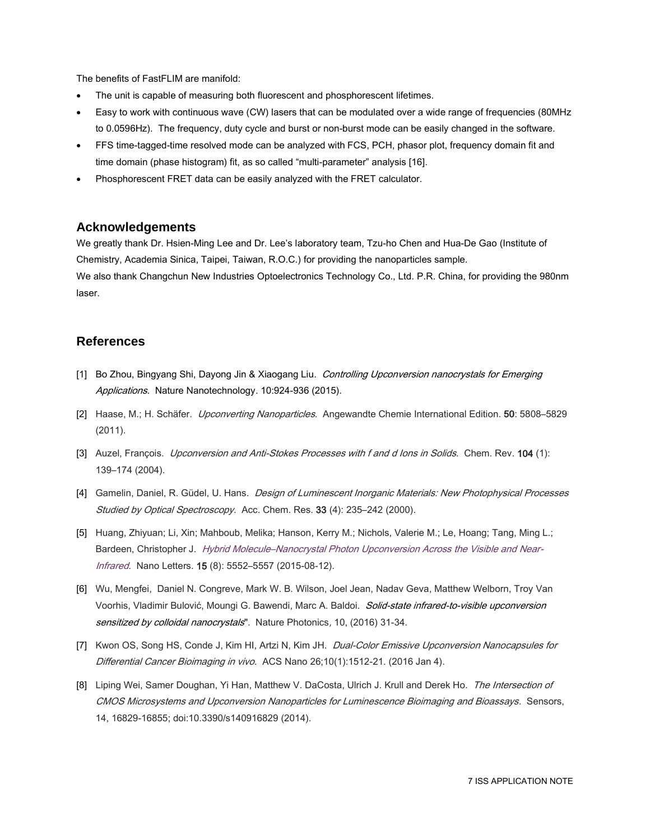The benefits of FastFLIM are manifold:

- The unit is capable of measuring both fluorescent and phosphorescent lifetimes.
- Easy to work with continuous wave (CW) lasers that can be modulated over a wide range of frequencies (80MHz to 0.0596Hz). The frequency, duty cycle and burst or non-burst mode can be easily changed in the software.
- FFS time-tagged-time resolved mode can be analyzed with FCS, PCH, phasor plot, frequency domain fit and time domain (phase histogram) fit, as so called "multi-parameter" analysis [16].
- Phosphorescent FRET data can be easily analyzed with the FRET calculator.

#### **Acknowledgements**

We greatly thank Dr. Hsien-Ming Lee and Dr. Lee's laboratory team, Tzu-ho Chen and Hua-De Gao (Institute of Chemistry, Academia Sinica, Taipei, Taiwan, R.O.C.) for providing the nanoparticles sample. We also thank Changchun New Industries Optoelectronics Technology Co., Ltd. P.R. China, for providing the 980nm laser.

## **References**

- [1] Bo Zhou, Bingyang Shi, Dayong Jin & Xiaogang Liu. *Controlling Upconversion nanocrystals for Emerging* Applications. Nature Nanotechnology. 10:924-936 (2015).
- [2] Haase, M.; H. Schäfer. *Upconverting Nanoparticles*. Angewandte Chemie International Edition. 50: 5808–5829 (2011).
- [3] Auzel, François. *Upconversion and Anti-Stokes Processes with f and d Ions in Solids*. Chem. Rev. 104 (1): 139–174 (2004).
- [4] Gamelin, Daniel, R. Güdel, U. Hans. Design of Luminescent Inorganic Materials: New Photophysical Processes Studied by Optical Spectroscopy. Acc. Chem. Res. 33 (4): 235-242 (2000).
- [5] Huang, Zhiyuan; Li, Xin; Mahboub, Melika; Hanson, Kerry M.; Nichols, Valerie M.; Le, Hoang; Tang, Ming L.; Bardeen, Christopher J. Hybrid Molecule-[Nanocrystal Photon Upconversion Across the Visible and Near-](http://dx.doi.org/10.1021/acs.nanolett.5b02130)[Infrared](http://dx.doi.org/10.1021/acs.nanolett.5b02130). Nano Letters. 15 (8): 5552-5557 (2015-08-12).
- [6] Wu, Mengfei, Daniel N. Congreve, Mark W. B. Wilson, Joel Jean, Nadav Geva, Matthew Welborn, Troy Van Voorhis, Vladimir Bulović, Moungi G. Bawendi, Marc A. Baldoi. Solid-state infrared-to-visible upconversion sensitized by colloidal nanocrystals". Nature Photonics, 10, (2016) 31-34.
- [7] Kwon OS, Song HS, Conde J, Kim HI, Artzi N, Kim JH. Dual-Color Emissive Upconversion Nanocapsules for Differential Cancer Bioimaging in vivo. ACS Nano 26:10(1):1512-21. (2016 Jan 4).
- [8] Liping Wei, Samer Doughan, Yi Han, Matthew V. DaCosta, Ulrich J. Krull and Derek Ho. The Intersection of CMOS Microsystems and Upconversion Nanoparticles for Luminescence Bioimaging and Bioassays. Sensors, 14, 16829-16855; doi:10.3390/s140916829 (2014).